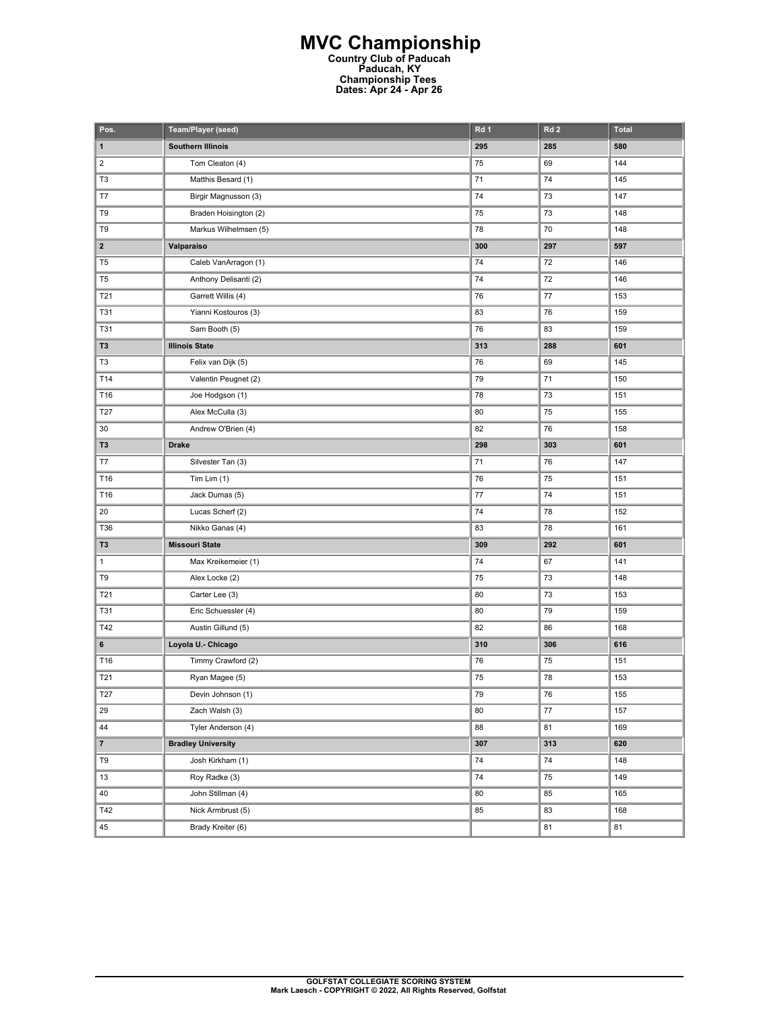## **MVC Championship Country Club of Paducah Paducah, KY Championship Tees Dates: Apr 24 - Apr 26**

| Pos.                    | Team/Player (seed)        | Rd 1 | Rd <sub>2</sub> | <b>Total</b> |
|-------------------------|---------------------------|------|-----------------|--------------|
| 1                       | <b>Southern Illinois</b>  | 295  | 285             | 580          |
| $\overline{2}$          | Tom Cleaton (4)           | 75   | 69              | 144          |
| T <sub>3</sub>          | Matthis Besard (1)        | 71   | 74              | 145          |
| T7                      | Birgir Magnusson (3)      | 74   | 73              | 147          |
| T9                      | Braden Hoisington (2)     | 75   | 73              | 148          |
| T9                      | Markus Wilhelmsen (5)     | 78   | 70              | 148          |
| $\overline{\mathbf{2}}$ | Valparaiso                | 300  | 297             | 597          |
| T <sub>5</sub>          | Caleb VanArragon (1)      | 74   | 72              | 146          |
| T <sub>5</sub>          | Anthony Delisanti (2)     | 74   | 72              | 146          |
| T21                     | Garrett Willis (4)        | 76   | $77$            | 153          |
| <b>T31</b>              | Yianni Kostouros (3)      | 83   | 76              | 159          |
| T31                     | Sam Booth (5)             | 76   | 83              | 159          |
| T3                      | <b>Illinois State</b>     | 313  | 288             | 601          |
| T3                      | Felix van Dijk (5)        | 76   | 69              | 145          |
| T14                     | Valentin Peugnet (2)      | 79   | 71              | 150          |
| T16                     | Joe Hodgson (1)           | 78   | 73              | 151          |
| T27                     | Alex McCulla (3)          | 80   | 75              | 155          |
| 30                      | Andrew O'Brien (4)        | 82   | 76              | 158          |
| T3                      | <b>Drake</b>              | 298  | 303             | 601          |
| T7                      | Silvester Tan (3)         | 71   | 76              | 147          |
| T16                     | Tim Lim $(1)$             | 76   | 75              | 151          |
| T16                     | Jack Dumas (5)            | $77$ | 74              | 151          |
| 20                      | Lucas Scherf (2)          | 74   | 78              | 152          |
| T36                     | Nikko Ganas (4)           | 83   | 78              | 161          |
| T3                      | <b>Missouri State</b>     | 309  | 292             | 601          |
| $\mathbf{1}$            | Max Kreikemeier (1)       | 74   | 67              | 141          |
| T9                      | Alex Locke (2)            | 75   | 73              | 148          |
| T21                     | Carter Lee (3)            | 80   | 73              | 153          |
| <b>T31</b>              | Eric Schuessler (4)       | 80   | 79              | 159          |
| T42                     | Austin Gillund (5)        | 82   | 86              | 168          |
| 6                       | Loyola U. - Chicago       | 310  | 306             | 616          |
| T16                     | Timmy Crawford (2)        | 76   | 75              | 151          |
| T21                     | Ryan Magee (5)            | 75   | 78              | 153          |
| <b>T27</b>              | Devin Johnson (1)         | 79   | 76              | 155          |
| 29                      | Zach Walsh (3)            | 80   | $77\,$          | 157          |
| 44                      | Tyler Anderson (4)        | 88   | 81              | 169          |
| $\overline{7}$          | <b>Bradley University</b> | 307  | 313             | 620          |
| T9                      | Josh Kirkham (1)          | 74   | 74              | 148          |
| 13                      | Roy Radke (3)             | 74   | 75              | 149          |
| 40                      | John Stillman (4)         | 80   | 85              | 165          |
| T42                     | Nick Armbrust (5)         | 85   | 83              | 168          |
| 45                      | Brady Kreiter (6)         |      | 81              | 81           |